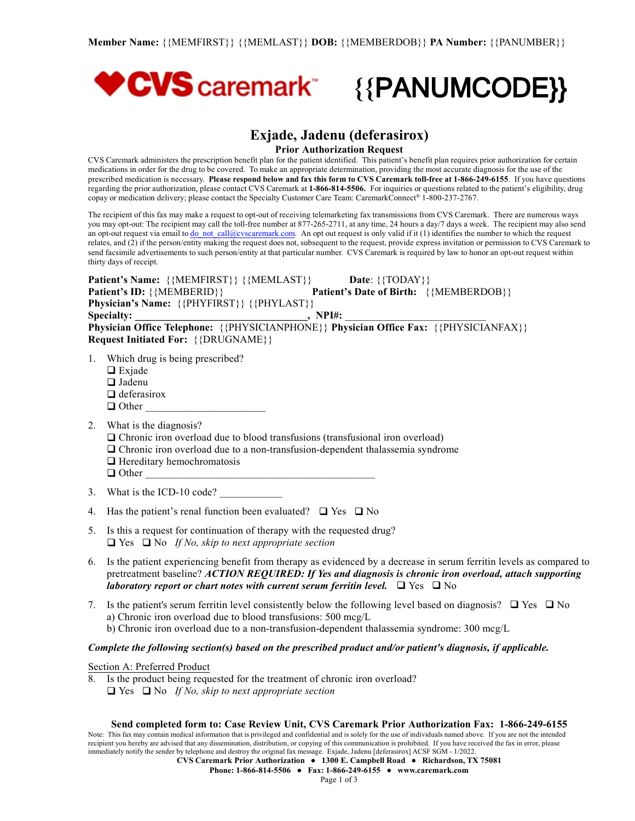

# **Exjade, Jadenu (deferasirox)**

**Prior Authorization Request**

CVS Caremark administers the prescription benefit plan for the patient identified. This patient's benefit plan requires prior authorization for certain medications in order for the drug to be covered. To make an appropriate determination, providing the most accurate diagnosis for the use of the prescribed medication is necessary. Please respond below and fax this form to CVS Caremark toll-free at 1-866-249-6155. If you have questions regarding the prior authorization, please contact CVS Caremark at **1-866-814-5506.** For inquiries or questions related to the patient's eligibility, drug copay or medication delivery; please contact the Specialty Customer Care Team: CaremarkConnect® 1-800-237-2767.

The recipient of this fax may make a request to opt-out of receiving telemarketing fax transmissions from CVS Caremark. There are numerous ways you may opt-out: The recipient may call the toll-free number at 877-265-2711, at any time, 24 hours a day/7 days a week. The recipient may also send an opt-out request via email to <u>[do\\_not\\_call@cvscaremark.com](mailto:do_not_call@cvscaremark.com)</u>. An opt out request is only valid if it (1) identifies the number to which the request relates, and (2) if the person/entity making the request does not, subsequent to the request, provide express invitation or permission to CVS Caremark to send facsimile advertisements to such person/entity at that particular number. CVS Caremark is required by law to honor an opt-out request within thirty days of receipt.

**Patient's Name:**  $\{ \{ \text{MEMFIRST} \} \}$   $\{ \{ \text{MEMLAST} \} \}$  **Date:**  $\{ \{ \text{TDAY} \}$ **Patient's ID:** {{MEMBERID}} **Patient's Date** of **Birth:** {{MEMBERDOB}} **Physician's Name:** {{PHYFIRST}} {{PHYLAST}} Specialty:  $\blacksquare$ ,  $NPI\#$ : **Physician Office Telephone:** {{PHYSICIANPHONE}} **Physician Office Fax:** {{PHYSICIANFAX}} **Request Initiated For:** {{DRUGNAME}}

- 1. Which drug is being prescribed?
	- $\Box$  Exjade
	- $\Box$  Jadenu
	- $\Box$  deferasirox
	- $\Box$  Other
- 2. What is the diagnosis?
	- $\Box$  Chronic iron overload due to blood transfusions (transfusional iron overload)
	- $\Box$  Chronic iron overload due to a non-transfusion-dependent thalassemia syndrome
	- $\Box$  Hereditary hemochromatosis
	- $\Box$  Other
- 3. What is the ICD-10 code?
- 4. Has the patient's renal function been evaluated?  $\Box$  Yes  $\Box$  No
- 5. Is this a request for continuation of therapy with the requested drug?  $\Box$  Yes  $\Box$  No *If No, skip to next appropriate section*
- 6. Is the patient experiencing benefit from therapy as evidenced by a decrease in serum ferritin levels as compared to pretreatment baseline? *ACTION REQUIRED: If Yes and diagnosis is chronic iron overload, attach supporting laboratory report or chart notes with current serum ferritin level.*  $\Box$  Yes  $\Box$  No
- 7. Is the patient's serum ferritin level consistently below the following level based on diagnosis?  $\Box$  Yes  $\Box$  No
	- a) Chronic iron overload due to blood transfusions: 500 mcg/L
	- b) Chronic iron overload due to a non-transfusion-dependent thalassemia syndrome: 300 mcg/L

# *Complete the following section(s) based on the prescribed product and/or patient's diagnosis, if applicable.*

Section A: Preferred Product

- 8. Is the product being requested for the treatment of chronic iron overload?
	- $\Box$  Yes  $\Box$  No *If No, skip to next appropriate section*

### **Send completed form to: Case Review Unit, CVS Caremark Prior Authorization Fax: 1-866-249-6155**

Note: This fax may contain medical information that is privileged and confidential and is solely for the use of individuals named above. If you are not the intended recipient you hereby are advised that any dissemination, distribution, or copying of this communication is prohibited. If you have received the fax in error, please immediately notify the sender by telephone and destroy the original fax message. Exjade, Jadenu [deferasirox] ACSF SGM - 1/2022.

**CVS Caremark Prior Authorization ● 1300 E. Campbell Road ● Richardson, TX 75081**

**Phone: 1-866-814-5506 ● Fax: 1-866-249-6155 ● [www.caremark.com](http://www.caremark.com)**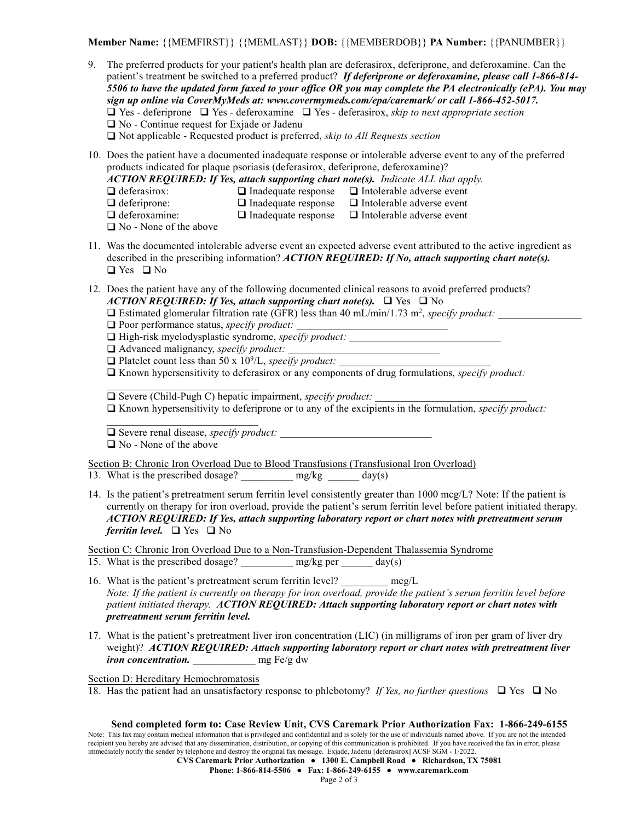**Member Name:** {{MEMFIRST}} {{MEMLAST}} **DOB:** {{MEMBERDOB}} **PA Number:** {{PANUMBER}}

9. The preferred products for your patient's health plan are deferasirox, deferiprone, and deferoxamine. Can the patient's treatment be switched to a preferred product? *If deferiprone or deferoxamine, please call 1-866-814-* 5506 to have the updated form faxed to your office OR you may complete the PA electronically (ePA). You may *sign up online via CoverMyMeds at: www.covermymeds.com/epa/caremark/ or call 1-866-452-5017.*  $\Box$  Yes - deferiprone  $\Box$  Yes - deferoxamine  $\Box$  Yes - deferasirox, *skip to next* appropriate section  $\Box$  No - Continue request for Exjade or Jadenu

q Not applicable - Requested product is preferred, *skip to All Requests section*

10. Does the patient have a documented inadequate response or intolerable adverse event to any of the preferred products indicated for plaque psoriasis (deferasirox, deferiprone, deferoxamine)?

*ACTION REQUIRED: If Yes, attach supporting chart note(s). Indicate ALL that apply.*

- 
- $\Box$  deferasirox:  $\Box$  Inadequate response  $\Box$  Intolerable adverse event
- $\Box$  deferiprone:  $\Box$  Inadequate response  $\Box$  Intolerable adverse event
- $\Box$  deferoxamine:  $\Box$  Inadequate response  $\Box$  Intolerable adverse event
- $\Box$  No None of the above
- 11. Was the documented intolerable adverse event an expected adverse event attributed to the active ingredient as described in the prescribing information? *ACTION REQUIRED: If No, attach supporting chart note(s).*  $\Box$  Yes  $\Box$  No
- 12. Does the patient have any of the following documented clinical reasons to avoid preferred products? *ACTION REQUIRED: If Yes, attach supporting chart note(s).*  $\Box$  Yes  $\Box$  No
	- $\Box$  Estimated glomerular filtration rate (GFR) less than 40 mL/min/1.73 m<sup>2</sup>, *specify product:*
	- □ Poor performance status, *specify product:*
	- □ High-risk myelodysplastic syndrome, *specify product:*
	- $\Box$  Advanced malignancy, *specify product:*

*\_\_\_\_\_\_\_\_\_\_\_\_\_\_\_\_\_\_\_\_\_\_\_\_\_\_\_\_\_*

*\_\_\_\_\_\_\_\_\_\_\_\_\_\_\_\_\_\_\_\_\_\_\_\_\_\_\_\_\_*

- $\Box$  Platelet count less than 50 x 10<sup>9</sup>/L, *specify product:*
- $\Box$  Known hypersensitivity to deferasirox or any components of drug formulations, *specify product:*

 $\Box$  Severe (Child-Pugh C) hepatic impairment, *specify product:* 

 $\Box$  Known hypersensitivity to deferiprone or to any of the excipients in the formulation, *specify product:* 

□ Severe renal disease, *specify product:* 

 $\Box$  No - None of the above

Section B: Chronic Iron Overload Due to Blood Transfusions (Transfusional Iron Overload)

- 13. What is the prescribed dosage? \_\_\_\_\_\_\_\_\_\_ mg/kg \_\_\_\_\_\_ day(s)
- 14. Is the patient's pretreatment serum ferritin level consistently greater than 1000 mcg/L? Note: If the patient is currently on therapy for iron overload, provide the patient's serum ferritin level before patient initiated therapy. *ACTION REQUIRED: If Yes, attach supporting laboratory report or chart notes with pretreatment serum ferritin level.*  $\Box$  Yes  $\Box$  No

Section C: Chronic Iron Overload Due to a Non-Transfusion-Dependent Thalassemia Syndrome

- 15. What is the prescribed dosage? \_\_\_\_\_\_\_\_\_\_\_\_ mg/kg per \_\_\_\_\_\_ day(s)
- 16. What is the patient's pretreatment serum ferritin level? mcg/L Note: If the patient is currently on therapy for iron overload, provide the patient's serum ferritin level before *patient initiated therapy. ACTION REQUIRED: Attach supporting laboratory report or chart notes with pretreatment serum ferritin level.*
- 17. What is the patient's pretreatment liver iron concentration (LIC) (in milligrams of iron per gram of liver dry weight)? *ACTION REQUIRED: Attach supporting laboratory report or chart notes with pretreatment liver iron concentration.* \_\_\_\_\_\_\_\_\_\_\_\_ mg Fe/g dw

Section D: Hereditary Hemochromatosis

18. Has the patient had an unsatisfactory response to phlebotomy? *If Yes, no further questions*  $\Box$  Yes  $\Box$  No

## **Send completed form to: Case Review Unit, CVS Caremark Prior Authorization Fax: 1-866-249-6155** Note: This fax may contain medical information that is privileged and confidential and is solely for the use of individuals named above. If you are not the intended

recipient you hereby are advised that any dissemination, distribution, or copying of this communication is prohibited. If you have received the fax in error, please immediately notify the sender by telephone and destroy the original fax message. Exjade, Jadenu [deferasirox] ACSF SGM - 1/2022.

**CVS Caremark Prior Authorization ● 1300 E. Campbell Road ● Richardson, TX 75081**

**Phone: 1-866-814-5506 ● Fax: 1-866-249-6155 ● [www.caremark.com](http://www.caremark.com)**